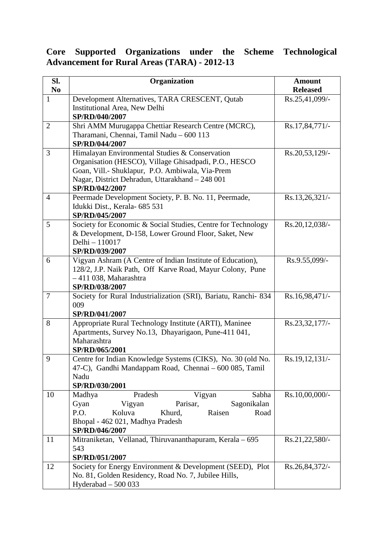## **Core Supported Organizations under the Scheme Technological Advancement for Rural Areas (TARA) - 2012-13**

| SI.<br>N <sub>0</sub> | Organization                                                                                                                                                                                                                    | <b>Amount</b><br><b>Released</b> |
|-----------------------|---------------------------------------------------------------------------------------------------------------------------------------------------------------------------------------------------------------------------------|----------------------------------|
| 1                     | Development Alternatives, TARA CRESCENT, Qutab<br>Institutional Area, New Delhi<br>SP/RD/040/2007                                                                                                                               | Rs.25,41,099/-                   |
| $\overline{2}$        | Shri AMM Murugappa Chettiar Research Centre (MCRC),<br>Tharamani, Chennai, Tamil Nadu - 600 113<br>SP/RD/044/2007                                                                                                               | Rs.17,84,771/-                   |
| 3                     | Himalayan Environmental Studies & Conservation<br>Organisation (HESCO), Village Ghisadpadi, P.O., HESCO<br>Goan, Vill.- Shuklapur, P.O. Ambiwala, Via-Prem<br>Nagar, District Dehradun, Uttarakhand - 248 001<br>SP/RD/042/2007 | Rs.20,53,129/-                   |
| $\overline{4}$        | Peermade Development Society, P. B. No. 11, Peermade,<br>Idukki Dist., Kerala- 685 531<br>SP/RD/045/2007                                                                                                                        | Rs.13,26,321/-                   |
| 5                     | Society for Economic & Social Studies, Centre for Technology<br>& Development, D-158, Lower Ground Floor, Saket, New<br>Delhi - 110017<br>SP/RD/039/2007                                                                        | Rs.20,12,038/-                   |
| 6                     | Vigyan Ashram (A Centre of Indian Institute of Education),<br>128/2, J.P. Naik Path, Off Karve Road, Mayur Colony, Pune<br>$-411$ 038, Maharashtra<br>SP/RD/038/2007                                                            | Rs.9.55,099/-                    |
| $\overline{7}$        | Society for Rural Industrialization (SRI), Bariatu, Ranchi- 834<br>009<br>SP/RD/041/2007                                                                                                                                        | Rs.16,98,471/-                   |
| 8                     | Appropriate Rural Technology Institute (ARTI), Maninee<br>Apartments, Survey No.13, Dhayarigaon, Pune-411 041,<br>Maharashtra<br>SP/RD/065/2001                                                                                 | Rs.23,32,177/-                   |
| 9                     | Centre for Indian Knowledge Systems (CIKS), No. 30 (old No.<br>47-C), Gandhi Mandappam Road, Chennai - 600 085, Tamil<br>Nadu<br>SP/RD/030/2001                                                                                 | Rs.19,12,131/-                   |
| 10                    | Pradesh<br>Vigyan<br>Sabha<br>Madhya<br>Sagonikalan<br>Gyan<br>Vigyan<br>Parisar,<br>P.O.<br>Koluva<br>Khurd,<br>Raisen<br>Road<br>Bhopal - 462 021, Madhya Pradesh<br>SP/RD/046/2007                                           | Rs.10,00,000/-                   |
| 11                    | Mitraniketan, Vellanad, Thiruvananthapuram, Kerala - 695<br>543<br>SP/RD/051/2007                                                                                                                                               | Rs.21,22,580/-                   |
| 12                    | Society for Energy Environment & Development (SEED), Plot<br>No. 81, Golden Residency, Road No. 7, Jubilee Hills,<br>Hyderabad $-500033$                                                                                        | Rs.26,84,372/-                   |